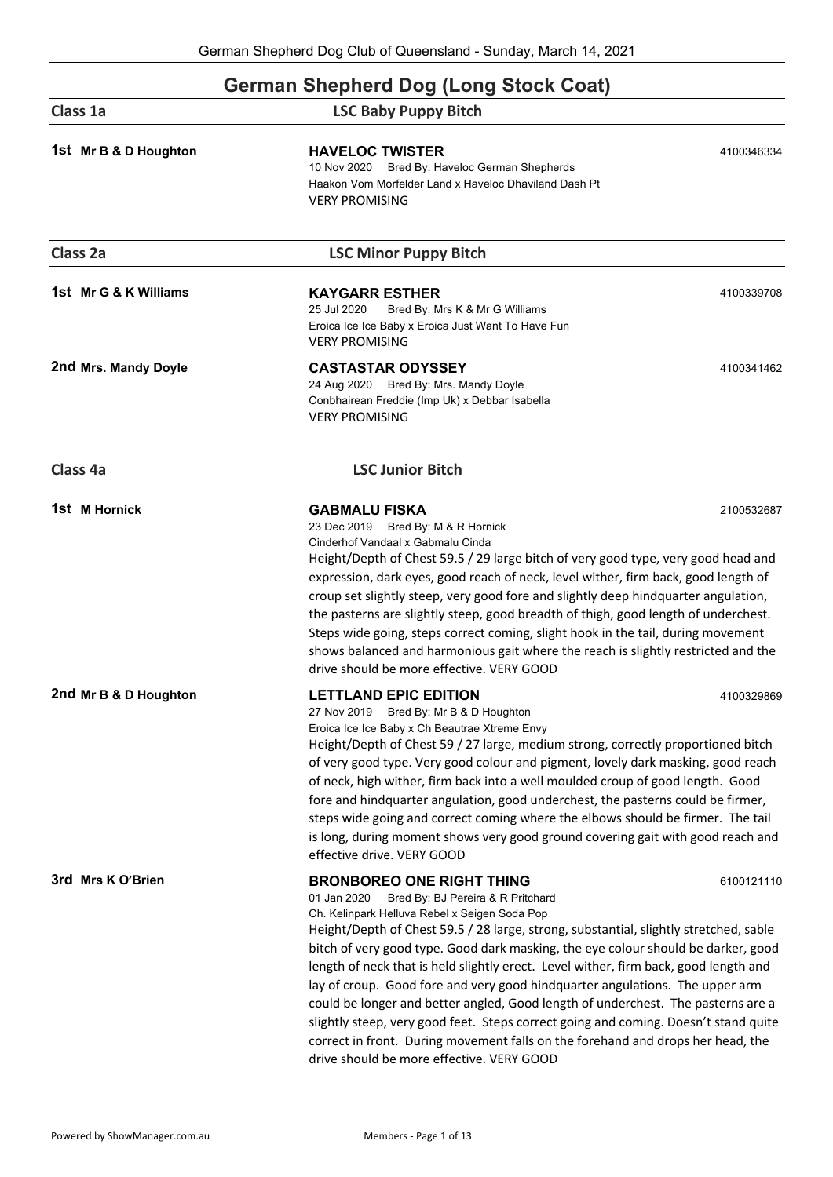### **German Shepherd Dog (Long Stock Coat)**

| Class 1a              | <b>LSC Baby Puppy Bitch</b>                                                                                                                                                                                                                                                                                                                                                                                                                                                                                                                                                                                                                                                                                                                                                                            |            |
|-----------------------|--------------------------------------------------------------------------------------------------------------------------------------------------------------------------------------------------------------------------------------------------------------------------------------------------------------------------------------------------------------------------------------------------------------------------------------------------------------------------------------------------------------------------------------------------------------------------------------------------------------------------------------------------------------------------------------------------------------------------------------------------------------------------------------------------------|------------|
| 1st Mr B & D Houghton | <b>HAVELOC TWISTER</b><br>10 Nov 2020 Bred By: Haveloc German Shepherds<br>Haakon Vom Morfelder Land x Haveloc Dhaviland Dash Pt<br><b>VERY PROMISING</b>                                                                                                                                                                                                                                                                                                                                                                                                                                                                                                                                                                                                                                              | 4100346334 |
| Class 2a              | <b>LSC Minor Puppy Bitch</b>                                                                                                                                                                                                                                                                                                                                                                                                                                                                                                                                                                                                                                                                                                                                                                           |            |
| 1st Mr G & K Williams | <b>KAYGARR ESTHER</b><br>25 Jul 2020<br>Bred By: Mrs K & Mr G Williams<br>Eroica Ice Ice Baby x Eroica Just Want To Have Fun<br><b>VERY PROMISING</b>                                                                                                                                                                                                                                                                                                                                                                                                                                                                                                                                                                                                                                                  | 4100339708 |
| 2nd Mrs. Mandy Doyle  | <b>CASTASTAR ODYSSEY</b><br>24 Aug 2020 Bred By: Mrs. Mandy Doyle<br>Conbhairean Freddie (Imp Uk) x Debbar Isabella<br><b>VERY PROMISING</b>                                                                                                                                                                                                                                                                                                                                                                                                                                                                                                                                                                                                                                                           | 4100341462 |
| Class 4a              | <b>LSC Junior Bitch</b>                                                                                                                                                                                                                                                                                                                                                                                                                                                                                                                                                                                                                                                                                                                                                                                |            |
| 1st M Hornick         | <b>GABMALU FISKA</b><br>23 Dec 2019 Bred By: M & R Hornick<br>Cinderhof Vandaal x Gabmalu Cinda<br>Height/Depth of Chest 59.5 / 29 large bitch of very good type, very good head and<br>expression, dark eyes, good reach of neck, level wither, firm back, good length of<br>croup set slightly steep, very good fore and slightly deep hindquarter angulation,<br>the pasterns are slightly steep, good breadth of thigh, good length of underchest.<br>Steps wide going, steps correct coming, slight hook in the tail, during movement<br>shows balanced and harmonious gait where the reach is slightly restricted and the<br>drive should be more effective. VERY GOOD                                                                                                                           | 2100532687 |
| 2nd Mr B & D Houghton | <b>LETTLAND EPIC EDITION</b><br>4100329869<br>27 Nov 2019 Bred By: Mr B & D Houghton<br>Eroica Ice Ice Baby x Ch Beautrae Xtreme Envy<br>Height/Depth of Chest 59 / 27 large, medium strong, correctly proportioned bitch<br>of very good type. Very good colour and pigment, lovely dark masking, good reach<br>of neck, high wither, firm back into a well moulded croup of good length. Good<br>fore and hindquarter angulation, good underchest, the pasterns could be firmer,<br>steps wide going and correct coming where the elbows should be firmer. The tail<br>is long, during moment shows very good ground covering gait with good reach and<br>effective drive. VERY GOOD                                                                                                                 |            |
| 3rd Mrs K O'Brien     | <b>BRONBOREO ONE RIGHT THING</b><br>01 Jan 2020<br>Bred By: BJ Pereira & R Pritchard<br>Ch. Kelinpark Helluva Rebel x Seigen Soda Pop<br>Height/Depth of Chest 59.5 / 28 large, strong, substantial, slightly stretched, sable<br>bitch of very good type. Good dark masking, the eye colour should be darker, good<br>length of neck that is held slightly erect. Level wither, firm back, good length and<br>lay of croup. Good fore and very good hindquarter angulations. The upper arm<br>could be longer and better angled, Good length of underchest. The pasterns are a<br>slightly steep, very good feet. Steps correct going and coming. Doesn't stand quite<br>correct in front. During movement falls on the forehand and drops her head, the<br>drive should be more effective. VERY GOOD | 6100121110 |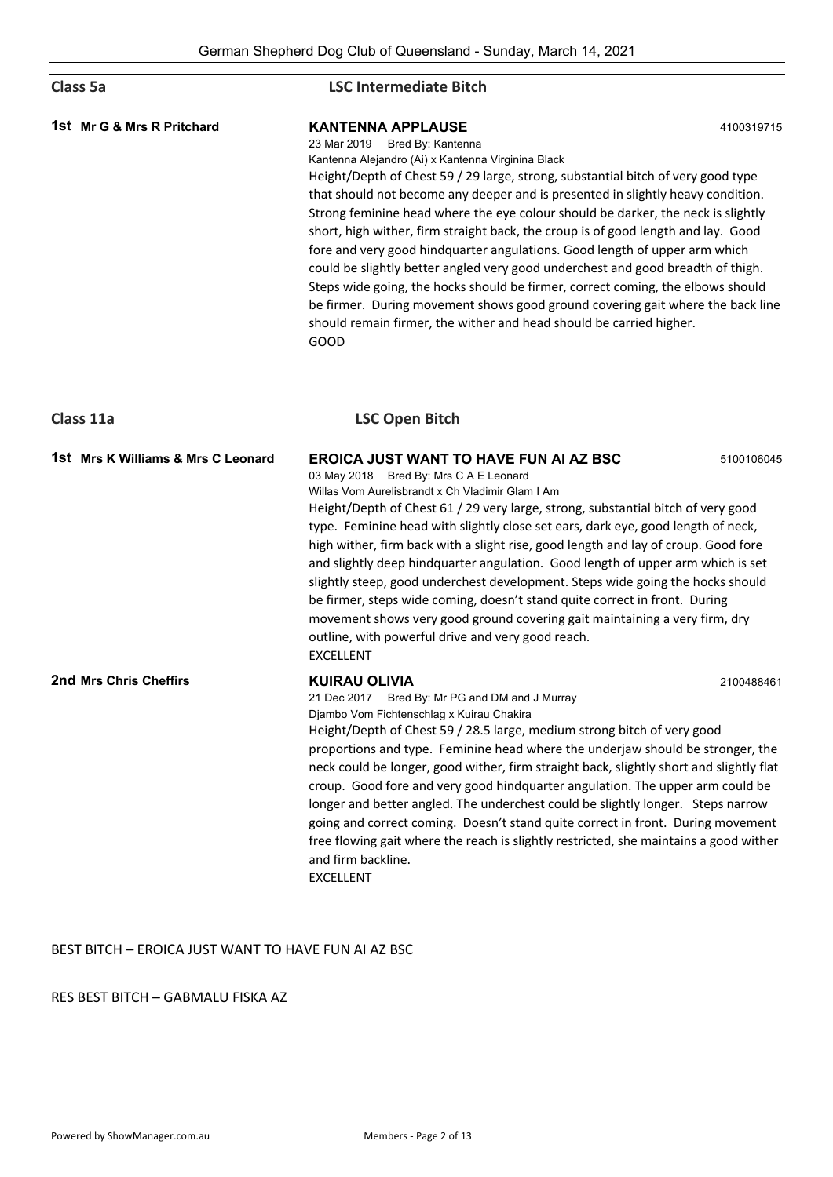| Class 5a                   | <b>LSC Intermediate Bitch</b>                                                                                                                                                                                                                                                                                                                                                                                                                                                                                                                                                                                                                                                                                                            |            |  |
|----------------------------|------------------------------------------------------------------------------------------------------------------------------------------------------------------------------------------------------------------------------------------------------------------------------------------------------------------------------------------------------------------------------------------------------------------------------------------------------------------------------------------------------------------------------------------------------------------------------------------------------------------------------------------------------------------------------------------------------------------------------------------|------------|--|
| 1st Mr G & Mrs R Pritchard | <b>KANTENNA APPLAUSE</b><br>Bred By: Kantenna<br>23 Mar 2019                                                                                                                                                                                                                                                                                                                                                                                                                                                                                                                                                                                                                                                                             | 4100319715 |  |
|                            | Kantenna Alejandro (Ai) x Kantenna Virginina Black<br>Height/Depth of Chest 59 / 29 large, strong, substantial bitch of very good type<br>that should not become any deeper and is presented in slightly heavy condition.<br>Strong feminine head where the eye colour should be darker, the neck is slightly<br>short, high wither, firm straight back, the croup is of good length and lay. Good<br>fore and very good hindquarter angulations. Good length of upper arm which<br>could be slightly better angled very good underchest and good breadth of thigh.<br>Steps wide going, the hocks should be firmer, correct coming, the elbows should<br>be firmer. During movement shows good ground covering gait where the back line |            |  |
|                            | should remain firmer, the wither and head should be carried higher.<br><b>GOOD</b>                                                                                                                                                                                                                                                                                                                                                                                                                                                                                                                                                                                                                                                       |            |  |

| Class 11a                          | <b>LSC Open Bitch</b>                                                                                                                                                                                                                                                                                                                                                                                                                                                                                                                                                                                                                                                                                                                                                                                                             |  |
|------------------------------------|-----------------------------------------------------------------------------------------------------------------------------------------------------------------------------------------------------------------------------------------------------------------------------------------------------------------------------------------------------------------------------------------------------------------------------------------------------------------------------------------------------------------------------------------------------------------------------------------------------------------------------------------------------------------------------------------------------------------------------------------------------------------------------------------------------------------------------------|--|
| 1st Mrs K Williams & Mrs C Leonard | <b>EROICA JUST WANT TO HAVE FUN AI AZ BSC</b><br>5100106045<br>03 May 2018 Bred By: Mrs C A E Leonard<br>Willas Vom Aurelisbrandt x Ch Vladimir Glam I Am<br>Height/Depth of Chest 61 / 29 very large, strong, substantial bitch of very good<br>type. Feminine head with slightly close set ears, dark eye, good length of neck,<br>high wither, firm back with a slight rise, good length and lay of croup. Good fore<br>and slightly deep hindquarter angulation. Good length of upper arm which is set<br>slightly steep, good underchest development. Steps wide going the hocks should<br>be firmer, steps wide coming, doesn't stand quite correct in front. During<br>movement shows very good ground covering gait maintaining a very firm, dry<br>outline, with powerful drive and very good reach.<br><b>EXCELLENT</b> |  |
| 2nd Mrs Chris Cheffirs             | <b>KUIRAU OLIVIA</b><br>2100488461<br>21 Dec 2017 Bred By: Mr PG and DM and J Murray<br>Djambo Vom Fichtenschlag x Kuirau Chakira<br>Height/Depth of Chest 59 / 28.5 large, medium strong bitch of very good<br>proportions and type. Feminine head where the underjaw should be stronger, the<br>neck could be longer, good wither, firm straight back, slightly short and slightly flat<br>croup. Good fore and very good hindquarter angulation. The upper arm could be<br>longer and better angled. The underchest could be slightly longer. Steps narrow<br>going and correct coming. Doesn't stand quite correct in front. During movement<br>free flowing gait where the reach is slightly restricted, she maintains a good wither<br>and firm backline.<br><b>EXCELLENT</b>                                               |  |

### BEST BITCH – EROICA JUST WANT TO HAVE FUN AI AZ BSC

### RES BEST BITCH – GABMALU FISKA AZ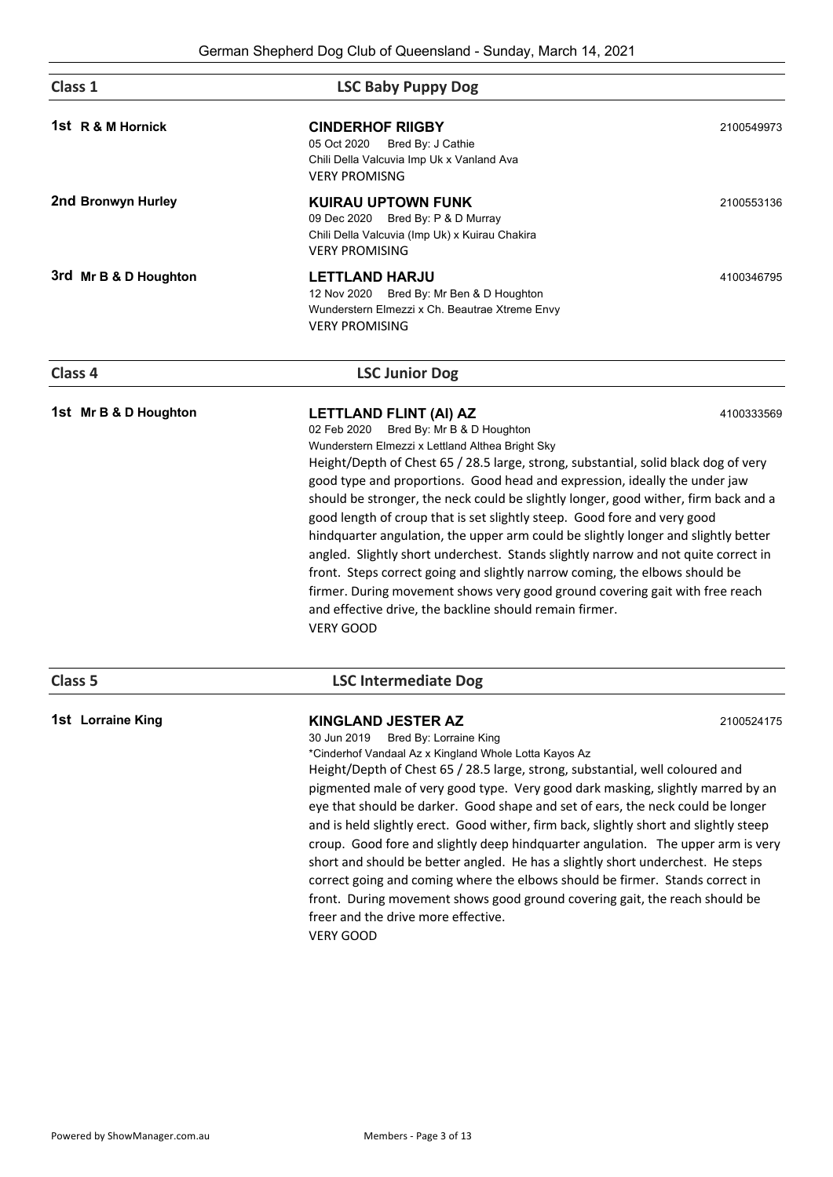| Class 1               | <b>LSC Baby Puppy Dog</b>                                                                                                                                                                                                                                                                                                                                                                                                                                                                                                                                                                                                                                                                                                                                                                                                                                                                 |            |
|-----------------------|-------------------------------------------------------------------------------------------------------------------------------------------------------------------------------------------------------------------------------------------------------------------------------------------------------------------------------------------------------------------------------------------------------------------------------------------------------------------------------------------------------------------------------------------------------------------------------------------------------------------------------------------------------------------------------------------------------------------------------------------------------------------------------------------------------------------------------------------------------------------------------------------|------------|
| 1st R & M Hornick     | <b>CINDERHOF RIIGBY</b><br>05 Oct 2020<br>Bred By: J Cathie<br>Chili Della Valcuvia Imp Uk x Vanland Ava<br><b>VERY PROMISNG</b>                                                                                                                                                                                                                                                                                                                                                                                                                                                                                                                                                                                                                                                                                                                                                          | 2100549973 |
| 2nd Bronwyn Hurley    | <b>KUIRAU UPTOWN FUNK</b><br>09 Dec 2020 Bred By: P & D Murray<br>Chili Della Valcuvia (Imp Uk) x Kuirau Chakira<br><b>VERY PROMISING</b>                                                                                                                                                                                                                                                                                                                                                                                                                                                                                                                                                                                                                                                                                                                                                 | 2100553136 |
| 3rd Mr B & D Houghton | <b>LETTLAND HARJU</b><br>12 Nov 2020 Bred By: Mr Ben & D Houghton<br>Wunderstern Elmezzi x Ch. Beautrae Xtreme Envy<br><b>VERY PROMISING</b>                                                                                                                                                                                                                                                                                                                                                                                                                                                                                                                                                                                                                                                                                                                                              | 4100346795 |
| Class 4               | <b>LSC Junior Dog</b>                                                                                                                                                                                                                                                                                                                                                                                                                                                                                                                                                                                                                                                                                                                                                                                                                                                                     |            |
| 1st Mr B & D Houghton | LETTLAND FLINT (AI) AZ<br>02 Feb 2020<br>Bred By: Mr B & D Houghton<br>Wunderstern Elmezzi x Lettland Althea Bright Sky<br>Height/Depth of Chest 65 / 28.5 large, strong, substantial, solid black dog of very<br>good type and proportions. Good head and expression, ideally the under jaw<br>should be stronger, the neck could be slightly longer, good wither, firm back and a<br>good length of croup that is set slightly steep. Good fore and very good<br>hindquarter angulation, the upper arm could be slightly longer and slightly better<br>angled. Slightly short underchest. Stands slightly narrow and not quite correct in<br>front. Steps correct going and slightly narrow coming, the elbows should be<br>firmer. During movement shows very good ground covering gait with free reach<br>and effective drive, the backline should remain firmer.<br><b>VERY GOOD</b> | 4100333569 |
| Class 5               | <b>LSC Intermediate Dog</b>                                                                                                                                                                                                                                                                                                                                                                                                                                                                                                                                                                                                                                                                                                                                                                                                                                                               |            |
| 1st Lorraine King     | <b>KINGLAND JESTER AZ</b><br>30 Jun 2019<br>Bred By: Lorraine King<br>*Cinderhof Vandaal Az x Kingland Whole Lotta Kayos Az<br>Height/Depth of Chest 65 / 28.5 large, strong, substantial, well coloured and<br>pigmented male of very good type. Very good dark masking, slightly marred by an<br>eye that should be darker. Good shape and set of ears, the neck could be longer<br>and is held slightly erect. Good wither, firm back, slightly short and slightly steep<br>croup. Good fore and slightly deep hindquarter angulation. The upper arm is very<br>short and should be better angled. He has a slightly short underchest. He steps<br>correct going and coming where the elbows should be firmer. Stands correct in<br>front. During movement shows good ground covering gait, the reach should be<br>freer and the drive more effective.                                 | 2100524175 |

VERY GOOD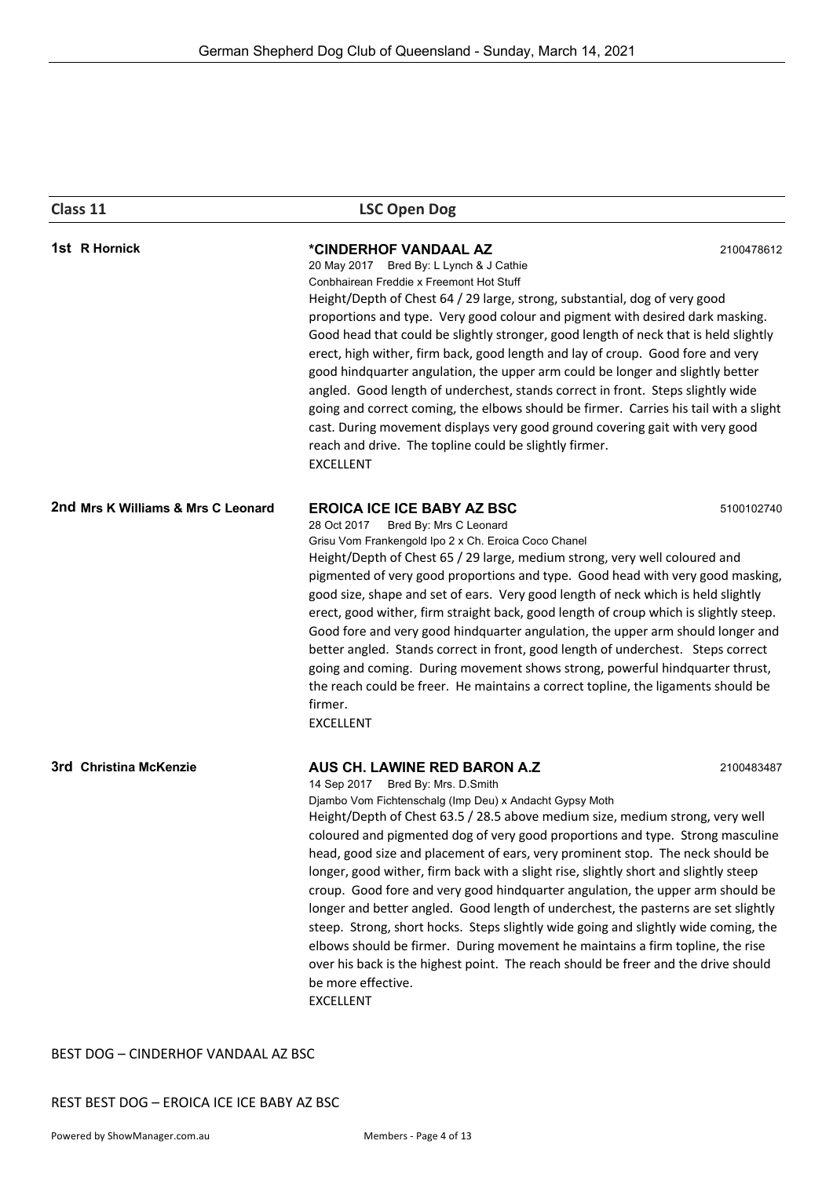| Class 11                                                                                                                                                                                                                                                                                                                                                                                                                                                                                                                                                                                                                                                                                                                                                                                                                                                                                                                                                                             | <b>LSC Open Dog</b>                                                                                                                                                                                                                                                                                                                                                                                                                                                                                                                                                                                                                                                                                                                                                                                                                                                                              |            |  |
|--------------------------------------------------------------------------------------------------------------------------------------------------------------------------------------------------------------------------------------------------------------------------------------------------------------------------------------------------------------------------------------------------------------------------------------------------------------------------------------------------------------------------------------------------------------------------------------------------------------------------------------------------------------------------------------------------------------------------------------------------------------------------------------------------------------------------------------------------------------------------------------------------------------------------------------------------------------------------------------|--------------------------------------------------------------------------------------------------------------------------------------------------------------------------------------------------------------------------------------------------------------------------------------------------------------------------------------------------------------------------------------------------------------------------------------------------------------------------------------------------------------------------------------------------------------------------------------------------------------------------------------------------------------------------------------------------------------------------------------------------------------------------------------------------------------------------------------------------------------------------------------------------|------------|--|
| 1st R Hornick                                                                                                                                                                                                                                                                                                                                                                                                                                                                                                                                                                                                                                                                                                                                                                                                                                                                                                                                                                        | *CINDERHOF VANDAAL AZ<br>2100478612<br>20 May 2017 Bred By: L Lynch & J Cathie<br>Conbhairean Freddie x Freemont Hot Stuff<br>Height/Depth of Chest 64 / 29 large, strong, substantial, dog of very good<br>proportions and type. Very good colour and pigment with desired dark masking.<br>Good head that could be slightly stronger, good length of neck that is held slightly<br>erect, high wither, firm back, good length and lay of croup. Good fore and very<br>good hindquarter angulation, the upper arm could be longer and slightly better<br>angled. Good length of underchest, stands correct in front. Steps slightly wide<br>going and correct coming, the elbows should be firmer. Carries his tail with a slight<br>cast. During movement displays very good ground covering gait with very good<br>reach and drive. The topline could be slightly firmer.<br><b>EXCELLENT</b> |            |  |
| 2nd Mrs K Williams & Mrs C Leonard                                                                                                                                                                                                                                                                                                                                                                                                                                                                                                                                                                                                                                                                                                                                                                                                                                                                                                                                                   | <b>EROICA ICE ICE BABY AZ BSC</b><br>5100102740<br>28 Oct 2017<br>Bred By: Mrs C Leonard<br>Grisu Vom Frankengold Ipo 2 x Ch. Eroica Coco Chanel<br>Height/Depth of Chest 65 / 29 large, medium strong, very well coloured and<br>pigmented of very good proportions and type. Good head with very good masking,<br>good size, shape and set of ears. Very good length of neck which is held slightly<br>erect, good wither, firm straight back, good length of croup which is slightly steep.<br>Good fore and very good hindquarter angulation, the upper arm should longer and<br>better angled. Stands correct in front, good length of underchest. Steps correct<br>going and coming. During movement shows strong, powerful hindquarter thrust,<br>the reach could be freer. He maintains a correct topline, the ligaments should be<br>firmer.<br><b>EXCELLENT</b>                        |            |  |
| 3rd Christina McKenzie<br>AUS CH. LAWINE RED BARON A.Z<br>14 Sep 2017 Bred By: Mrs. D.Smith<br>Djambo Vom Fichtenschalg (Imp Deu) x Andacht Gypsy Moth<br>Height/Depth of Chest 63.5 / 28.5 above medium size, medium strong, very well<br>coloured and pigmented dog of very good proportions and type. Strong masculine<br>head, good size and placement of ears, very prominent stop. The neck should be<br>longer, good wither, firm back with a slight rise, slightly short and slightly steep<br>croup. Good fore and very good hindquarter angulation, the upper arm should be<br>longer and better angled. Good length of underchest, the pasterns are set slightly<br>steep. Strong, short hocks. Steps slightly wide going and slightly wide coming, the<br>elbows should be firmer. During movement he maintains a firm topline, the rise<br>over his back is the highest point. The reach should be freer and the drive should<br>be more effective.<br><b>EXCELLENT</b> |                                                                                                                                                                                                                                                                                                                                                                                                                                                                                                                                                                                                                                                                                                                                                                                                                                                                                                  | 2100483487 |  |

BEST DOG – CINDERHOF VANDAAL AZ BSC

REST BEST DOG – EROICA ICE ICE BABY AZ BSC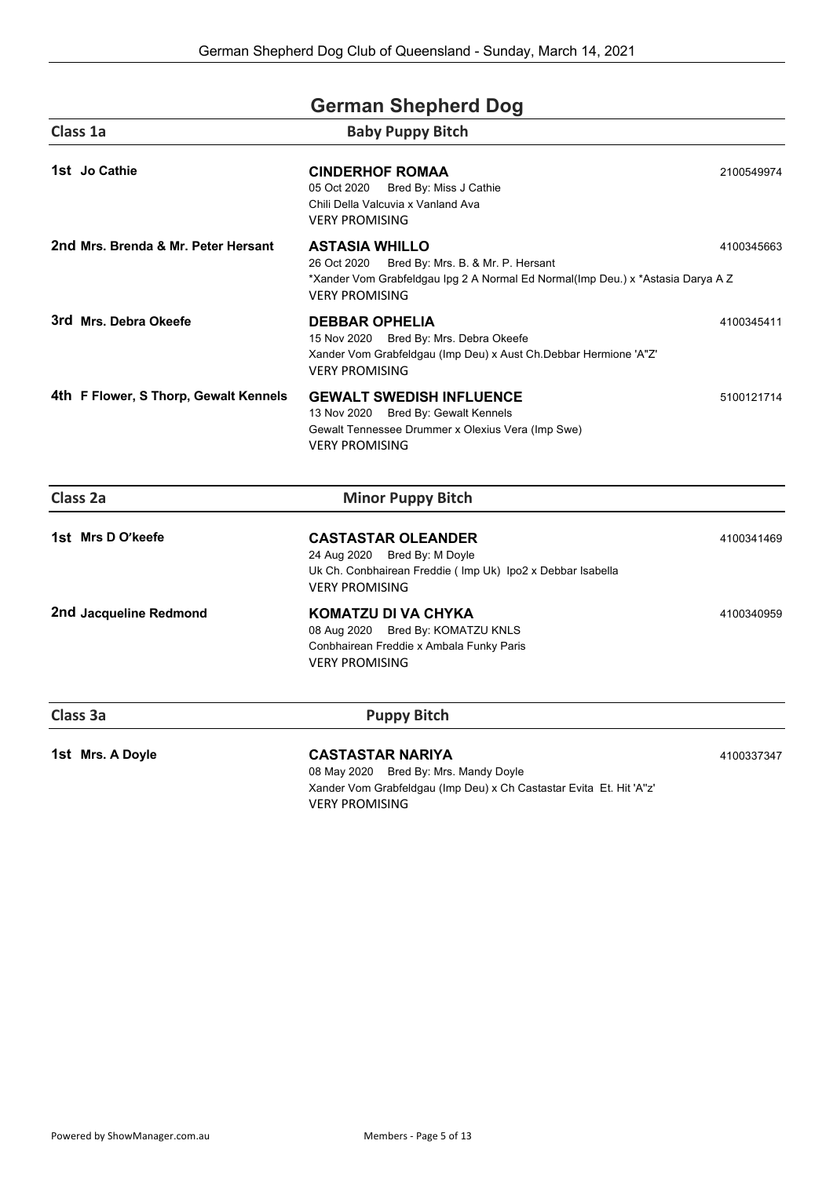| <b>German Shepherd Dog</b>            |                                                                                                                                                                                       |            |
|---------------------------------------|---------------------------------------------------------------------------------------------------------------------------------------------------------------------------------------|------------|
| Class 1a                              | <b>Baby Puppy Bitch</b>                                                                                                                                                               |            |
| 1st Jo Cathie                         | <b>CINDERHOF ROMAA</b><br>Bred By: Miss J Cathie<br>05 Oct 2020<br>Chili Della Valcuvia x Vanland Ava<br><b>VERY PROMISING</b>                                                        | 2100549974 |
| 2nd Mrs. Brenda & Mr. Peter Hersant   | <b>ASTASIA WHILLO</b><br>26 Oct 2020<br>Bred By: Mrs. B. & Mr. P. Hersant<br>*Xander Vom Grabfeldgau Ipg 2 A Normal Ed Normal(Imp Deu.) x *Astasia Darya A Z<br><b>VERY PROMISING</b> | 4100345663 |
| 3rd Mrs. Debra Okeefe                 | <b>DEBBAR OPHELIA</b><br>15 Nov 2020 Bred By: Mrs. Debra Okeefe<br>Xander Vom Grabfeldgau (Imp Deu) x Aust Ch.Debbar Hermione 'A"Z'<br><b>VERY PROMISING</b>                          | 4100345411 |
| 4th F Flower, S Thorp, Gewalt Kennels | <b>GEWALT SWEDISH INFLUENCE</b><br>13 Nov 2020 Bred By: Gewalt Kennels<br>Gewalt Tennessee Drummer x Olexius Vera (Imp Swe)<br><b>VERY PROMISING</b>                                  | 5100121714 |
| Class 2a                              | <b>Minor Puppy Bitch</b>                                                                                                                                                              |            |
| 1st Mrs D O'keefe                     | <b>CASTASTAR OLEANDER</b><br>24 Aug 2020 Bred By: M Doyle<br>Uk Ch. Conbhairean Freddie ( Imp Uk) Ipo2 x Debbar Isabella<br><b>VERY PROMISING</b>                                     | 4100341469 |
| 2nd Jacqueline Redmond                | KOMATZU DI VA CHYKA<br>08 Aug 2020 Bred By: KOMATZU KNLS<br>Conbhairean Freddie x Ambala Funky Paris<br><b>VERY PROMISING</b>                                                         | 4100340959 |
| Class 3a                              | <b>Puppy Bitch</b>                                                                                                                                                                    |            |
| 1st Mrs. A Doyle                      | <b>CASTASTAR NARIYA</b><br>08 May 2020 Bred By: Mrs. Mandy Doyle                                                                                                                      | 4100337347 |

Xander Vom Grabfeldgau (Imp Deu) x Ch Castastar Evita Et. Hit 'A''z' VERY PROMISING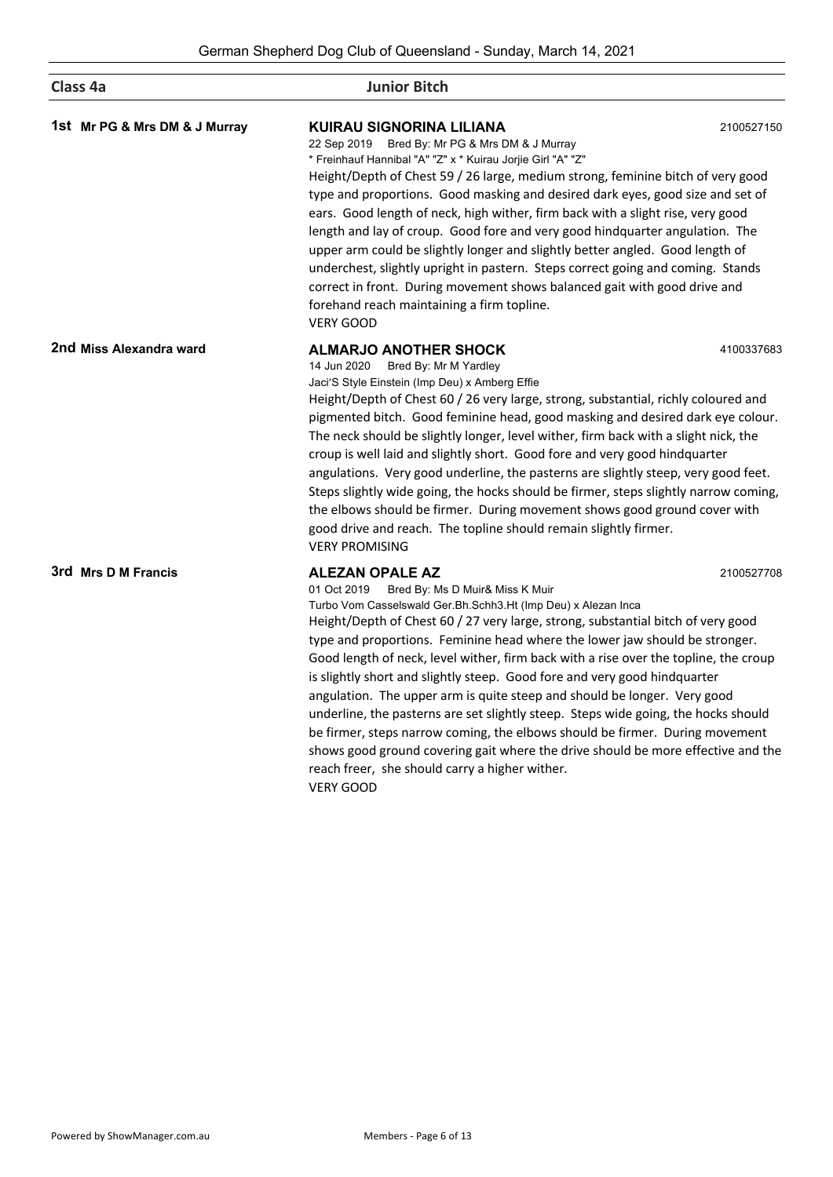| Class 4a                      | <b>Junior Bitch</b>                                                                                                                                                                                                                                                                                                                                                                                                                                                                                                                                                                                                                                                                                                                                                                                                                                                                                         |            |
|-------------------------------|-------------------------------------------------------------------------------------------------------------------------------------------------------------------------------------------------------------------------------------------------------------------------------------------------------------------------------------------------------------------------------------------------------------------------------------------------------------------------------------------------------------------------------------------------------------------------------------------------------------------------------------------------------------------------------------------------------------------------------------------------------------------------------------------------------------------------------------------------------------------------------------------------------------|------------|
| 1st Mr PG & Mrs DM & J Murray | KUIRAU SIGNORINA LILIANA<br>2100527150<br>22 Sep 2019 Bred By: Mr PG & Mrs DM & J Murray<br>* Freinhauf Hannibal "A" "Z" x * Kuirau Jorjie Girl "A" "Z"<br>Height/Depth of Chest 59 / 26 large, medium strong, feminine bitch of very good<br>type and proportions. Good masking and desired dark eyes, good size and set of<br>ears. Good length of neck, high wither, firm back with a slight rise, very good<br>length and lay of croup. Good fore and very good hindquarter angulation. The<br>upper arm could be slightly longer and slightly better angled. Good length of<br>underchest, slightly upright in pastern. Steps correct going and coming. Stands<br>correct in front. During movement shows balanced gait with good drive and<br>forehand reach maintaining a firm topline.<br><b>VERY GOOD</b>                                                                                          |            |
| 2nd Miss Alexandra ward       | <b>ALMARJO ANOTHER SHOCK</b><br>14 Jun 2020<br>Bred By: Mr M Yardley<br>Jaci'S Style Einstein (Imp Deu) x Amberg Effie<br>Height/Depth of Chest 60 / 26 very large, strong, substantial, richly coloured and<br>pigmented bitch. Good feminine head, good masking and desired dark eye colour.<br>The neck should be slightly longer, level wither, firm back with a slight nick, the<br>croup is well laid and slightly short. Good fore and very good hindquarter<br>angulations. Very good underline, the pasterns are slightly steep, very good feet.<br>Steps slightly wide going, the hocks should be firmer, steps slightly narrow coming,<br>the elbows should be firmer. During movement shows good ground cover with<br>good drive and reach. The topline should remain slightly firmer.<br><b>VERY PROMISING</b>                                                                                 | 4100337683 |
| 3rd Mrs D M Francis           | <b>ALEZAN OPALE AZ</b><br>2100527708<br>01 Oct 2019<br>Bred By: Ms D Muir& Miss K Muir<br>Turbo Vom Casselswald Ger.Bh.Schh3.Ht (Imp Deu) x Alezan Inca<br>Height/Depth of Chest 60 / 27 very large, strong, substantial bitch of very good<br>type and proportions. Feminine head where the lower jaw should be stronger.<br>Good length of neck, level wither, firm back with a rise over the topline, the croup<br>is slightly short and slightly steep. Good fore and very good hindquarter<br>angulation. The upper arm is quite steep and should be longer. Very good<br>underline, the pasterns are set slightly steep. Steps wide going, the hocks should<br>be firmer, steps narrow coming, the elbows should be firmer. During movement<br>shows good ground covering gait where the drive should be more effective and the<br>reach freer, she should carry a higher wither.<br><b>VERY GOOD</b> |            |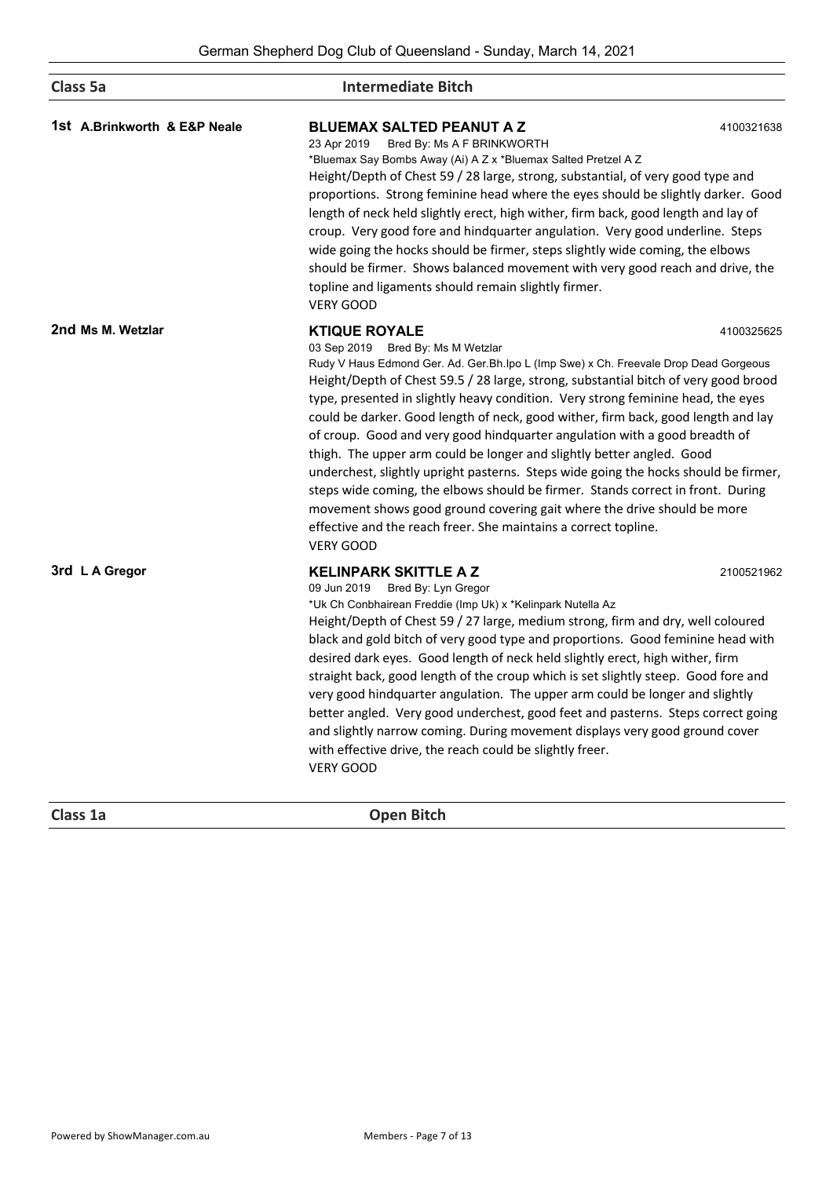| Class 5a                     | <b>Intermediate Bitch</b>                                                                                                                                                                                                                                                                                                                                                                                                                                                                                                                                                                                                                                                                                                                                                                                         |                                                                                                                                                                                                                                                                                                                                                                                                                                                                                                                                                                                                                                                                                                                                                                                  |  |
|------------------------------|-------------------------------------------------------------------------------------------------------------------------------------------------------------------------------------------------------------------------------------------------------------------------------------------------------------------------------------------------------------------------------------------------------------------------------------------------------------------------------------------------------------------------------------------------------------------------------------------------------------------------------------------------------------------------------------------------------------------------------------------------------------------------------------------------------------------|----------------------------------------------------------------------------------------------------------------------------------------------------------------------------------------------------------------------------------------------------------------------------------------------------------------------------------------------------------------------------------------------------------------------------------------------------------------------------------------------------------------------------------------------------------------------------------------------------------------------------------------------------------------------------------------------------------------------------------------------------------------------------------|--|
| 1st A.Brinkworth & E&P Neale | <b>BLUEMAX SALTED PEANUT A Z</b><br>Bred By: Ms A F BRINKWORTH<br>23 Apr 2019<br>*Bluemax Say Bombs Away (Ai) A Z x *Bluemax Salted Pretzel A Z<br>Height/Depth of Chest 59 / 28 large, strong, substantial, of very good type and<br>proportions. Strong feminine head where the eyes should be slightly darker. Good<br>length of neck held slightly erect, high wither, firm back, good length and lay of<br>croup. Very good fore and hindquarter angulation. Very good underline. Steps<br>wide going the hocks should be firmer, steps slightly wide coming, the elbows<br>should be firmer. Shows balanced movement with very good reach and drive, the<br>topline and ligaments should remain slightly firmer.<br><b>VERY GOOD</b>                                                                        | 4100321638                                                                                                                                                                                                                                                                                                                                                                                                                                                                                                                                                                                                                                                                                                                                                                       |  |
| 2nd Ms M. Wetzlar            | <b>KTIQUE ROYALE</b><br>03 Sep 2019 Bred By: Ms M Wetzlar<br>effective and the reach freer. She maintains a correct topline.<br><b>VERY GOOD</b>                                                                                                                                                                                                                                                                                                                                                                                                                                                                                                                                                                                                                                                                  | 4100325625<br>Rudy V Haus Edmond Ger. Ad. Ger. Bh. Ipo L (Imp Swe) x Ch. Freevale Drop Dead Gorgeous<br>Height/Depth of Chest 59.5 / 28 large, strong, substantial bitch of very good brood<br>type, presented in slightly heavy condition. Very strong feminine head, the eyes<br>could be darker. Good length of neck, good wither, firm back, good length and lay<br>of croup. Good and very good hindquarter angulation with a good breadth of<br>thigh. The upper arm could be longer and slightly better angled. Good<br>underchest, slightly upright pasterns. Steps wide going the hocks should be firmer,<br>steps wide coming, the elbows should be firmer. Stands correct in front. During<br>movement shows good ground covering gait where the drive should be more |  |
| 3rd L A Gregor               | <b>KELINPARK SKITTLE A Z</b><br>09 Jun 2019<br>Bred By: Lyn Gregor<br>*Uk Ch Conbhairean Freddie (Imp Uk) x *Kelinpark Nutella Az<br>Height/Depth of Chest 59 / 27 large, medium strong, firm and dry, well coloured<br>black and gold bitch of very good type and proportions. Good feminine head with<br>desired dark eyes. Good length of neck held slightly erect, high wither, firm<br>straight back, good length of the croup which is set slightly steep. Good fore and<br>very good hindquarter angulation. The upper arm could be longer and slightly<br>better angled. Very good underchest, good feet and pasterns. Steps correct going<br>and slightly narrow coming. During movement displays very good ground cover<br>with effective drive, the reach could be slightly freer.<br><b>VERY GOOD</b> | 2100521962                                                                                                                                                                                                                                                                                                                                                                                                                                                                                                                                                                                                                                                                                                                                                                       |  |

**Class 1a Open Bitch**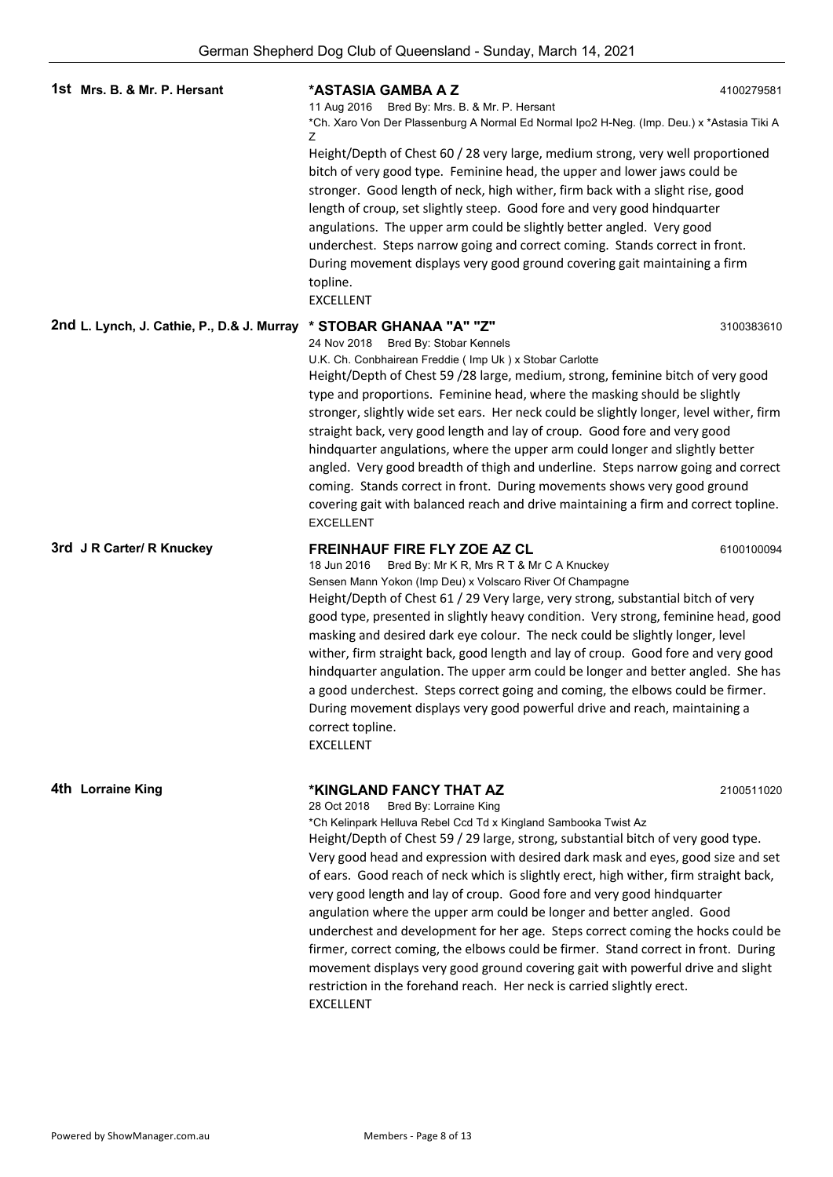|                                            | ochhan onophora Dog Olab or Qaconolana - Oanaay, maron 14, 2021                                                                                                                                                                                                                                                                                                                                                                                                                                                                                                                                                                                                                                                                                                                                                                                                                                 |            |
|--------------------------------------------|-------------------------------------------------------------------------------------------------------------------------------------------------------------------------------------------------------------------------------------------------------------------------------------------------------------------------------------------------------------------------------------------------------------------------------------------------------------------------------------------------------------------------------------------------------------------------------------------------------------------------------------------------------------------------------------------------------------------------------------------------------------------------------------------------------------------------------------------------------------------------------------------------|------------|
| 1st Mrs. B. & Mr. P. Hersant               | *ASTASIA GAMBA A Z<br>11 Aug 2016 Bred By: Mrs. B. & Mr. P. Hersant<br>*Ch. Xaro Von Der Plassenburg A Normal Ed Normal Ipo2 H-Neg. (Imp. Deu.) x *Astasia Tiki A<br>z<br>Height/Depth of Chest 60 / 28 very large, medium strong, very well proportioned<br>bitch of very good type. Feminine head, the upper and lower jaws could be<br>stronger. Good length of neck, high wither, firm back with a slight rise, good<br>length of croup, set slightly steep. Good fore and very good hindquarter<br>angulations. The upper arm could be slightly better angled. Very good<br>underchest. Steps narrow going and correct coming. Stands correct in front.<br>During movement displays very good ground covering gait maintaining a firm<br>topline.<br><b>EXCELLENT</b>                                                                                                                      | 4100279581 |
| 2nd L. Lynch, J. Cathie, P., D.& J. Murray | * STOBAR GHANAA "A" "Z"<br>24 Nov 2018<br>Bred By: Stobar Kennels<br>U.K. Ch. Conbhairean Freddie (Imp Uk) x Stobar Carlotte<br>Height/Depth of Chest 59 /28 large, medium, strong, feminine bitch of very good<br>type and proportions. Feminine head, where the masking should be slightly<br>stronger, slightly wide set ears. Her neck could be slightly longer, level wither, firm<br>straight back, very good length and lay of croup. Good fore and very good<br>hindquarter angulations, where the upper arm could longer and slightly better<br>angled. Very good breadth of thigh and underline. Steps narrow going and correct<br>coming. Stands correct in front. During movements shows very good ground<br>covering gait with balanced reach and drive maintaining a firm and correct topline.<br><b>EXCELLENT</b>                                                                | 3100383610 |
| 3rd J R Carter/ R Knuckey                  | <b>FREINHAUF FIRE FLY ZOE AZ CL</b><br>6100100094<br>Bred By: Mr K R, Mrs R T & Mr C A Knuckey<br>18 Jun 2016<br>Sensen Mann Yokon (Imp Deu) x Volscaro River Of Champagne<br>Height/Depth of Chest 61 / 29 Very large, very strong, substantial bitch of very<br>good type, presented in slightly heavy condition. Very strong, feminine head, good<br>masking and desired dark eye colour. The neck could be slightly longer, level<br>wither, firm straight back, good length and lay of croup. Good fore and very good<br>hindquarter angulation. The upper arm could be longer and better angled. She has<br>a good underchest. Steps correct going and coming, the elbows could be firmer.<br>During movement displays very good powerful drive and reach, maintaining a<br>correct topline.<br><b>EXCELLENT</b>                                                                          |            |
| 4th Lorraine King                          | *KINGLAND FANCY THAT AZ<br>28 Oct 2018<br>Bred By: Lorraine King<br>*Ch Kelinpark Helluva Rebel Ccd Td x Kingland Sambooka Twist Az<br>Height/Depth of Chest 59 / 29 large, strong, substantial bitch of very good type.<br>Very good head and expression with desired dark mask and eyes, good size and set<br>of ears. Good reach of neck which is slightly erect, high wither, firm straight back,<br>very good length and lay of croup. Good fore and very good hindquarter<br>angulation where the upper arm could be longer and better angled. Good<br>underchest and development for her age. Steps correct coming the hocks could be<br>firmer, correct coming, the elbows could be firmer. Stand correct in front. During<br>movement displays very good ground covering gait with powerful drive and slight<br>restriction in the forehand reach. Her neck is carried slightly erect. | 2100511020 |

EXCELLENT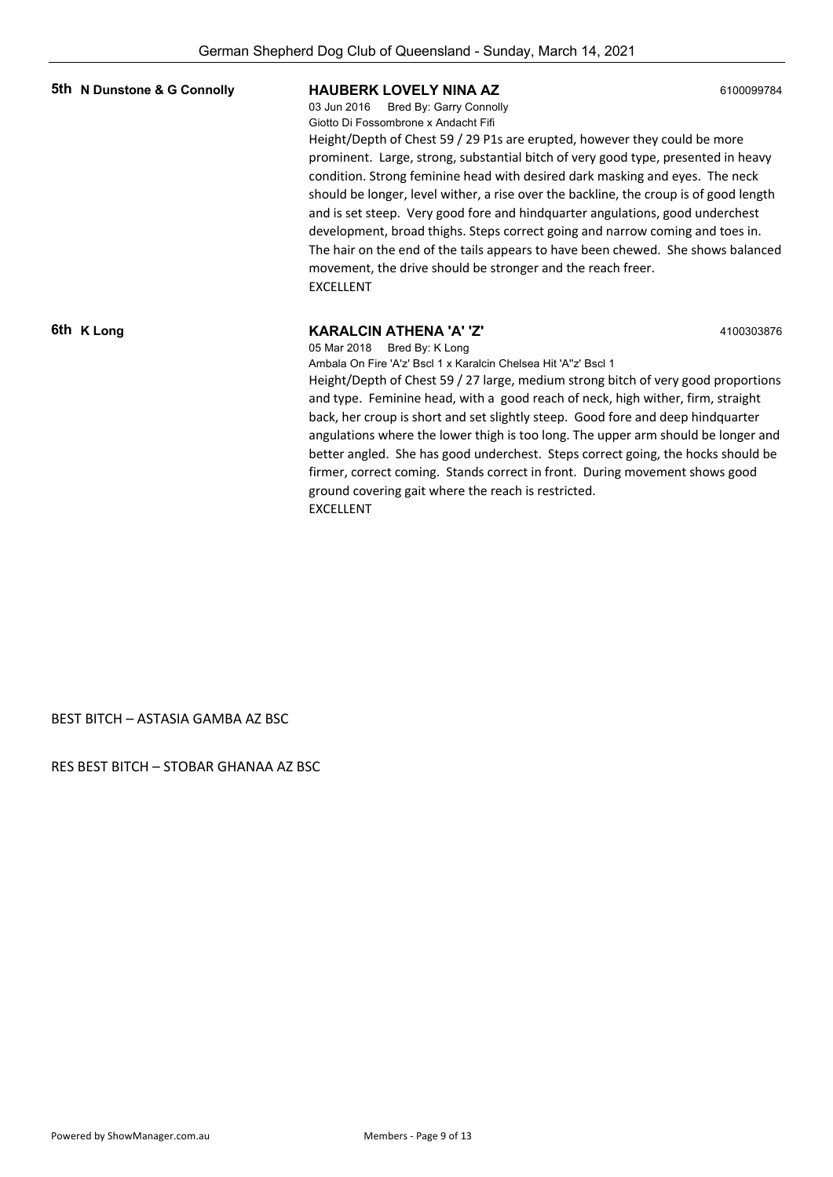| 5th N Dunstone & G Connolly | <b>HAUBERK LOVELY NINA AZ</b><br>03 Jun 2016<br>Bred By: Garry Connolly<br>Giotto Di Fossombrone x Andacht Fifi<br>Height/Depth of Chest 59 / 29 P1s are erupted, however they could be more<br>prominent. Large, strong, substantial bitch of very good type, presented in heavy<br>condition. Strong feminine head with desired dark masking and eyes. The neck<br>should be longer, level wither, a rise over the backline, the croup is of good length<br>and is set steep. Very good fore and hindquarter angulations, good underchest<br>development, broad thighs. Steps correct going and narrow coming and toes in.<br>The hair on the end of the tails appears to have been chewed. She shows balanced<br>movement, the drive should be stronger and the reach freer.<br><b>EXCELLENT</b> | 6100099784 |
|-----------------------------|-----------------------------------------------------------------------------------------------------------------------------------------------------------------------------------------------------------------------------------------------------------------------------------------------------------------------------------------------------------------------------------------------------------------------------------------------------------------------------------------------------------------------------------------------------------------------------------------------------------------------------------------------------------------------------------------------------------------------------------------------------------------------------------------------------|------------|
| 6th K Long                  | <b>KARALCIN ATHENA 'A' 'Z'</b><br>4100303876<br>05 Mar 2018 Bred By: K Long<br>Ambala On Fire 'A'z' Bscl 1 x Karalcin Chelsea Hit 'A''z' Bscl 1<br>Height/Depth of Chest 59 / 27 large, medium strong bitch of very good proportions<br>and type. Feminine head, with a good reach of neck, high wither, firm, straight<br>back, her croup is short and set slightly steep. Good fore and deep hindquarter<br>angulations where the lower thigh is too long. The upper arm should be longer and<br>better angled. She has good underchest. Steps correct going, the hocks should be<br>firmer, correct coming. Stands correct in front. During movement shows good<br>ground covering gait where the reach is restricted.<br><b>EXCELLENT</b>                                                       |            |

BEST BITCH – ASTASIA GAMBA AZ BSC

RES BEST BITCH – STOBAR GHANAA AZ BSC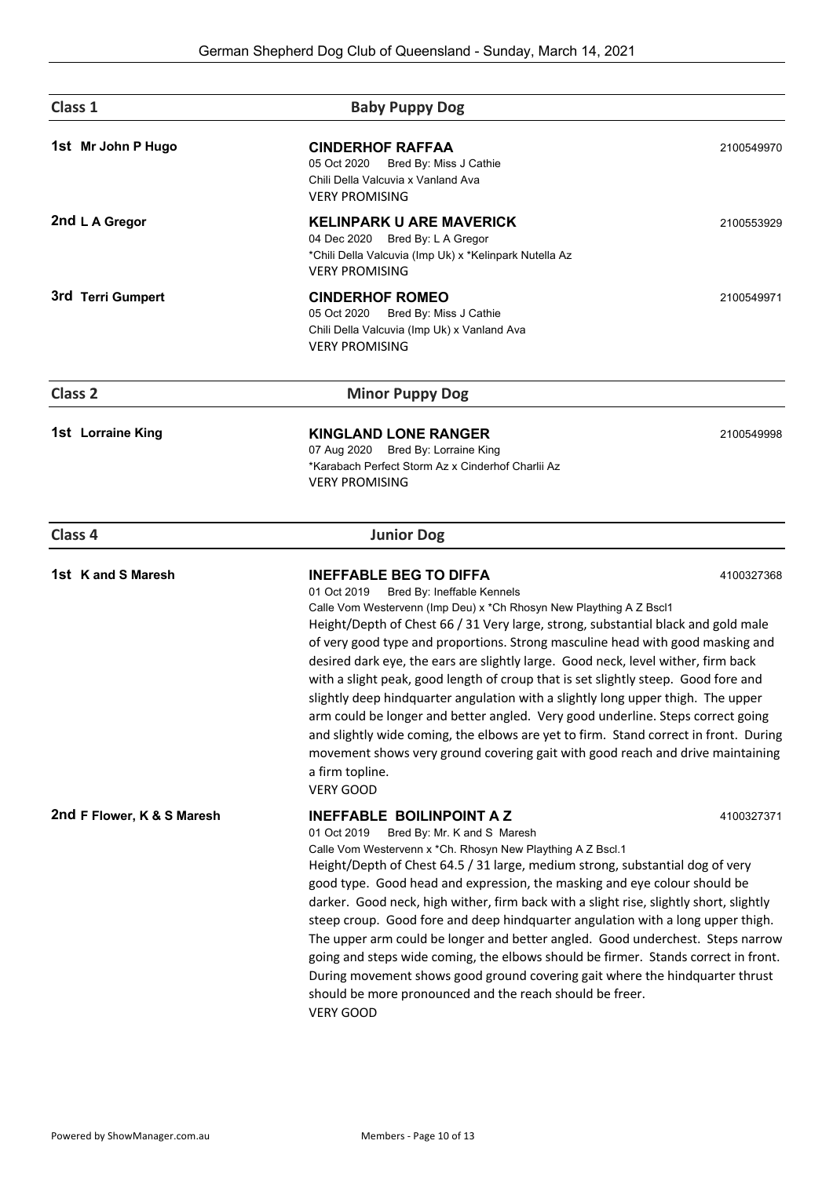| Class 1                    | <b>Baby Puppy Dog</b>                                                                                                                                                                                                                                                                                                                                                                                                                                                                                                                                                                                                                                                                                                                                                                                                                                                                       |            |
|----------------------------|---------------------------------------------------------------------------------------------------------------------------------------------------------------------------------------------------------------------------------------------------------------------------------------------------------------------------------------------------------------------------------------------------------------------------------------------------------------------------------------------------------------------------------------------------------------------------------------------------------------------------------------------------------------------------------------------------------------------------------------------------------------------------------------------------------------------------------------------------------------------------------------------|------------|
| 1st Mr John P Hugo         | <b>CINDERHOF RAFFAA</b><br>05 Oct 2020<br>Bred By: Miss J Cathie<br>Chili Della Valcuvia x Vanland Ava<br><b>VERY PROMISING</b>                                                                                                                                                                                                                                                                                                                                                                                                                                                                                                                                                                                                                                                                                                                                                             | 2100549970 |
| 2nd L A Gregor             | <b>KELINPARK U ARE MAVERICK</b><br>04 Dec 2020 Bred By: L A Gregor<br>*Chili Della Valcuvia (Imp Uk) x *Kelinpark Nutella Az<br><b>VERY PROMISING</b>                                                                                                                                                                                                                                                                                                                                                                                                                                                                                                                                                                                                                                                                                                                                       | 2100553929 |
| 3rd Terri Gumpert          | <b>CINDERHOF ROMEO</b><br>05 Oct 2020<br>Bred By: Miss J Cathie<br>Chili Della Valcuvia (Imp Uk) x Vanland Ava<br><b>VERY PROMISING</b>                                                                                                                                                                                                                                                                                                                                                                                                                                                                                                                                                                                                                                                                                                                                                     | 2100549971 |
| <b>Class 2</b>             | <b>Minor Puppy Dog</b>                                                                                                                                                                                                                                                                                                                                                                                                                                                                                                                                                                                                                                                                                                                                                                                                                                                                      |            |
| 1st Lorraine King          | <b>KINGLAND LONE RANGER</b><br>07 Aug 2020 Bred By: Lorraine King<br>*Karabach Perfect Storm Az x Cinderhof Charlii Az<br><b>VERY PROMISING</b>                                                                                                                                                                                                                                                                                                                                                                                                                                                                                                                                                                                                                                                                                                                                             | 2100549998 |
| Class 4                    | <b>Junior Dog</b>                                                                                                                                                                                                                                                                                                                                                                                                                                                                                                                                                                                                                                                                                                                                                                                                                                                                           |            |
| 1st K and S Maresh         | <b>INEFFABLE BEG TO DIFFA</b><br>Bred By: Ineffable Kennels<br>01 Oct 2019<br>Calle Vom Westervenn (Imp Deu) x *Ch Rhosyn New Plaything A Z Bscl1<br>Height/Depth of Chest 66 / 31 Very large, strong, substantial black and gold male<br>of very good type and proportions. Strong masculine head with good masking and<br>desired dark eye, the ears are slightly large. Good neck, level wither, firm back<br>with a slight peak, good length of croup that is set slightly steep. Good fore and<br>slightly deep hindquarter angulation with a slightly long upper thigh. The upper<br>arm could be longer and better angled. Very good underline. Steps correct going<br>and slightly wide coming, the elbows are yet to firm. Stand correct in front. During<br>movement shows very ground covering gait with good reach and drive maintaining<br>a firm topline.<br><b>VERY GOOD</b> | 4100327368 |
| 2nd F Flower, K & S Maresh | <b>INEFFABLE BOILINPOINT A Z</b><br>Bred By: Mr. K and S Maresh<br>01 Oct 2019<br>Calle Vom Westervenn x *Ch. Rhosyn New Plaything A Z Bscl.1<br>Height/Depth of Chest 64.5 / 31 large, medium strong, substantial dog of very<br>good type. Good head and expression, the masking and eye colour should be<br>darker. Good neck, high wither, firm back with a slight rise, slightly short, slightly<br>steep croup. Good fore and deep hindquarter angulation with a long upper thigh.<br>The upper arm could be longer and better angled. Good underchest. Steps narrow<br>going and steps wide coming, the elbows should be firmer. Stands correct in front.<br>During movement shows good ground covering gait where the hindquarter thrust<br>should be more pronounced and the reach should be freer.<br>VERY GOOD                                                                   | 4100327371 |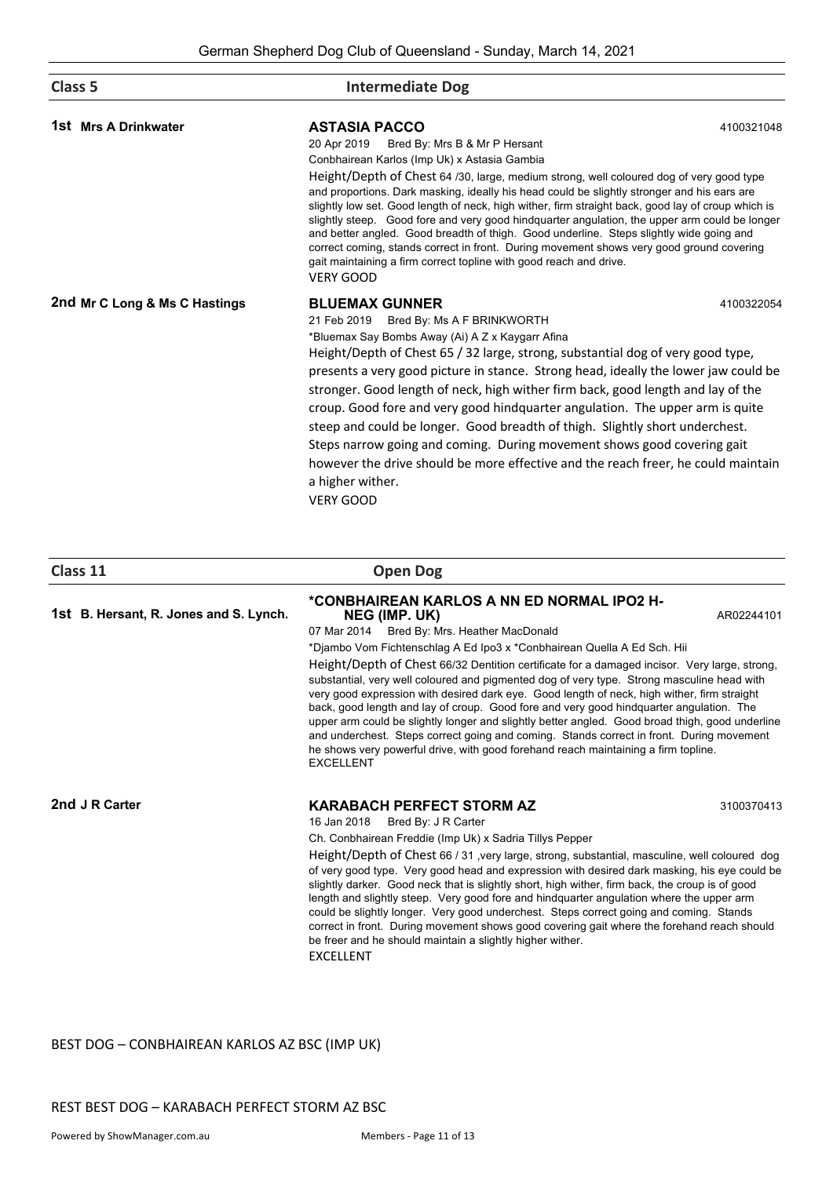| Class 5                       | <b>Intermediate Dog</b>                                                                                                                                                                                                                                                                                                                                                                                                                                                                                                                                                                                                                                                                                                                                                                                |            |
|-------------------------------|--------------------------------------------------------------------------------------------------------------------------------------------------------------------------------------------------------------------------------------------------------------------------------------------------------------------------------------------------------------------------------------------------------------------------------------------------------------------------------------------------------------------------------------------------------------------------------------------------------------------------------------------------------------------------------------------------------------------------------------------------------------------------------------------------------|------------|
| 1st Mrs A Drinkwater          | <b>ASTASIA PACCO</b><br>20 Apr 2019<br>Bred By: Mrs B & Mr P Hersant<br>Conbhairean Karlos (Imp Uk) x Astasia Gambia<br>Height/Depth of Chest 64 /30, large, medium strong, well coloured dog of very good type<br>and proportions. Dark masking, ideally his head could be slightly stronger and his ears are<br>slightly low set. Good length of neck, high wither, firm straight back, good lay of croup which is<br>slightly steep. Good fore and very good hindquarter angulation, the upper arm could be longer<br>and better angled. Good breadth of thigh. Good underline. Steps slightly wide going and<br>correct coming, stands correct in front. During movement shows very good ground covering<br>gait maintaining a firm correct topline with good reach and drive.<br><b>VERY GOOD</b> | 4100321048 |
| 2nd Mr C Long & Ms C Hastings | <b>BLUEMAX GUNNER</b><br>Bred By: Ms A F BRINKWORTH<br>21 Feb 2019<br>*Bluemax Say Bombs Away (Ai) A Z x Kaygarr Afina<br>Height/Depth of Chest 65 / 32 large, strong, substantial dog of very good type,<br>presents a very good picture in stance. Strong head, ideally the lower jaw could be<br>stronger. Good length of neck, high wither firm back, good length and lay of the<br>croup. Good fore and very good hindquarter angulation. The upper arm is quite<br>steep and could be longer. Good breadth of thigh. Slightly short underchest.<br>Steps narrow going and coming. During movement shows good covering gait<br>however the drive should be more effective and the reach freer, he could maintain<br>a higher wither.<br><b>VERY GOOD</b>                                          | 4100322054 |

| lass |  |
|------|--|
|      |  |

**1st B. Hersant, R. Jones and S. Lynch.**

**Class 11 Open Dog**

## **\*CONBHAIREAN KARLOS A NN ED NORMAL IPO2 H- NEG (IMP. UK)** AR02244101

07 Mar 2014 Bred By: Mrs. Heather MacDonald

\*Djambo Vom Fichtenschlag A Ed Ipo3 x \*Conbhairean Quella A Ed Sch. Hii Height/Depth of Chest 66/32 Dentition certificate for a damaged incisor. Very large, strong, substantial, very well coloured and pigmented dog of very type. Strong masculine head with very good expression with desired dark eye. Good length of neck, high wither, firm straight back, good length and lay of croup. Good fore and very good hindquarter angulation. The upper arm could be slightly longer and slightly better angled. Good broad thigh, good underline and underchest. Steps correct going and coming. Stands correct in front. During movement he shows very powerful drive, with good forehand reach maintaining a firm topline. EXCELLENT

### **2nd** J R Carter **KARABACH PERFECT STORM AZ** 3100370413

16 Jan 2018 Bred By: J R Carter

Ch. Conbhairean Freddie (Imp Uk) x Sadria Tillys Pepper

Height/Depth of Chest 66 / 31 ,very large, strong, substantial, masculine, well coloured dog of very good type. Very good head and expression with desired dark masking, his eye could be slightly darker. Good neck that is slightly short, high wither, firm back, the croup is of good length and slightly steep. Very good fore and hindquarter angulation where the upper arm could be slightly longer. Very good underchest. Steps correct going and coming. Stands correct in front. During movement shows good covering gait where the forehand reach should be freer and he should maintain a slightly higher wither. EXCELLENT

BEST DOG – CONBHAIREAN KARLOS AZ BSC (IMP UK)

REST BEST DOG – KARABACH PERFECT STORM AZ BSC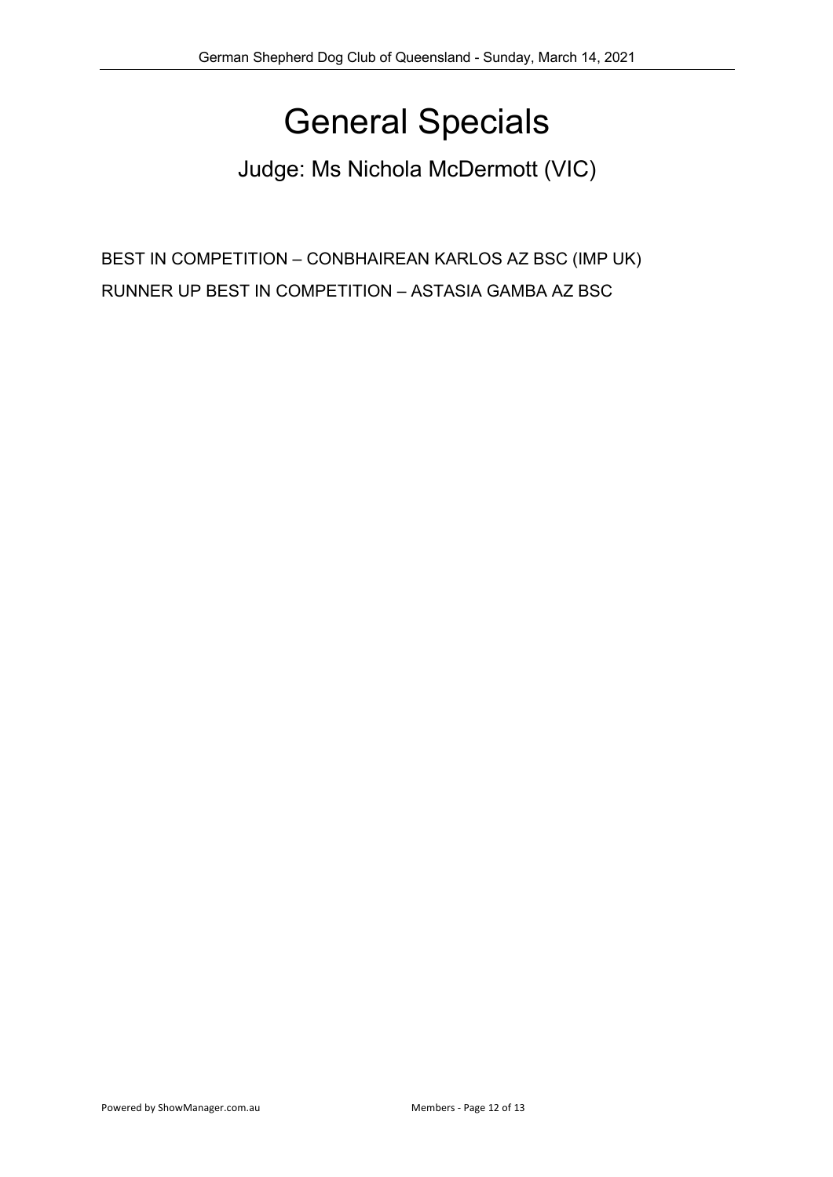# General Specials

Judge: Ms Nichola McDermott (VIC)

BEST IN COMPETITION – CONBHAIREAN KARLOS AZ BSC (IMP UK) RUNNER UP BEST IN COMPETITION – ASTASIA GAMBA AZ BSC